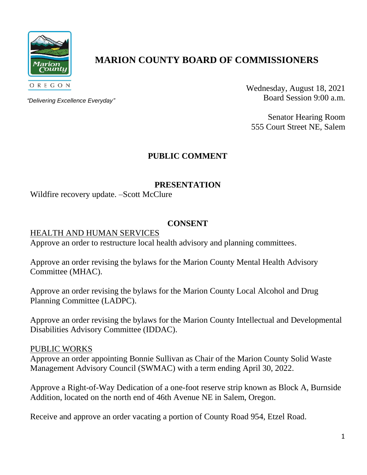

# **MARION COUNTY BOARD OF COMMISSIONERS**

*"Delivering Excellence Everyday"*

Wednesday, August 18, 2021 Board Session 9:00 a.m.

Senator Hearing Room 555 Court Street NE, Salem

# **PUBLIC COMMENT**

### **PRESENTATION**

Wildfire recovery update. –Scott McClure

### **CONSENT**

#### HEALTH AND HUMAN SERVICES

Approve an order to restructure local health advisory and planning committees.

Approve an order revising the bylaws for the Marion County Mental Health Advisory Committee (MHAC).

Approve an order revising the bylaws for the Marion County Local Alcohol and Drug Planning Committee (LADPC).

Approve an order revising the bylaws for the Marion County Intellectual and Developmental Disabilities Advisory Committee (IDDAC).

#### PUBLIC WORKS

Approve an order appointing Bonnie Sullivan as Chair of the Marion County Solid Waste Management Advisory Council (SWMAC) with a term ending April 30, 2022.

Approve a Right-of-Way Dedication of a one-foot reserve strip known as Block A, Burnside Addition, located on the north end of 46th Avenue NE in Salem, Oregon.

Receive and approve an order vacating a portion of County Road 954, Etzel Road.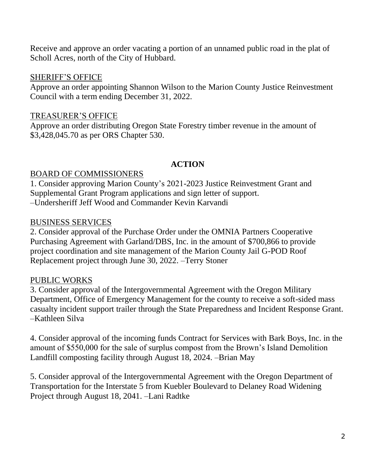Receive and approve an order vacating a portion of an unnamed public road in the plat of Scholl Acres, north of the City of Hubbard.

#### SHERIFF'S OFFICE

Approve an order appointing Shannon Wilson to the Marion County Justice Reinvestment Council with a term ending December 31, 2022.

## TREASURER'S OFFICE

Approve an order distributing Oregon State Forestry timber revenue in the amount of \$3,428,045.70 as per ORS Chapter 530.

### **ACTION**

## BOARD OF COMMISSIONERS

1. Consider approving Marion County's 2021-2023 Justice Reinvestment Grant and Supplemental Grant Program applications and sign letter of support. –Undersheriff Jeff Wood and Commander Kevin Karvandi

### BUSINESS SERVICES

2. Consider approval of the Purchase Order under the OMNIA Partners Cooperative Purchasing Agreement with Garland/DBS, Inc. in the amount of \$700,866 to provide project coordination and site management of the Marion County Jail G-POD Roof Replacement project through June 30, 2022. –Terry Stoner

## PUBLIC WORKS

3. Consider approval of the Intergovernmental Agreement with the Oregon Military Department, Office of Emergency Management for the county to receive a soft-sided mass casualty incident support trailer through the State Preparedness and Incident Response Grant. –Kathleen Silva

4. Consider approval of the incoming funds Contract for Services with Bark Boys, Inc. in the amount of \$550,000 for the sale of surplus compost from the Brown's Island Demolition Landfill composting facility through August 18, 2024. –Brian May

5. Consider approval of the Intergovernmental Agreement with the Oregon Department of Transportation for the Interstate 5 from Kuebler Boulevard to Delaney Road Widening Project through August 18, 2041. –Lani Radtke